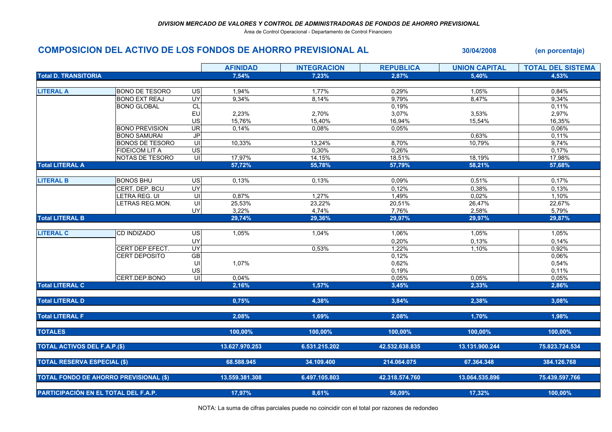Área de Control Operacional - Departamento de Control Financiero

## COMPOSICION DEL ACTIVO DE LOS FONDOS DE AHORRO PREVISIONAL AL 30/04/2008 (en porcentaje)

|                                               |                        |                         | <b>AFINIDAD</b> | <b>INTEGRACION</b> | <b>REPUBLICA</b> | <b>UNION CAPITAL</b> | <b>TOTAL DEL SISTEMA</b> |
|-----------------------------------------------|------------------------|-------------------------|-----------------|--------------------|------------------|----------------------|--------------------------|
| <b>Total D. TRANSITORIA</b>                   |                        |                         | 7,54%           | 7,23%              | 2,87%            | 5,40%                | 4,53%                    |
|                                               |                        |                         |                 |                    |                  |                      |                          |
| <b>LITERAL A</b>                              | <b>BONO DE TESORO</b>  | US                      | 1,94%           | 1,77%              | 0,29%            | 1,05%                | 0,84%                    |
|                                               | <b>BONO EXT REAJ</b>   | <b>UY</b>               | 9,34%           | 8,14%              | 9,79%            | 8,47%                | 9,34%                    |
|                                               | <b>BONO GLOBAL</b>     | CL                      |                 |                    | 0,19%            |                      | 0,11%                    |
|                                               |                        | EU                      | 2,23%           | 2,70%              | 3,07%            | 3,53%                | 2,97%                    |
|                                               |                        | US                      | 15,76%          | 15,40%             | 16,94%           | 15,54%               | 16,35%                   |
|                                               | <b>BONO PREVISION</b>  | <b>UR</b>               | 0,14%           | 0,08%              | 0,05%            |                      | 0,06%                    |
|                                               | <b>BONO SAMURAI</b>    | J <sub>P</sub>          |                 |                    |                  | 0,63%                | 0,11%                    |
|                                               | <b>BONOS DE TESORO</b> | UI                      | 10,33%          | 13,24%             | 8,70%            | 10,79%               | 9,74%                    |
|                                               | <b>FIDEICOM LIT A</b>  | $\overline{US}$         |                 | 0,30%              | 0,26%            |                      | 0,17%                    |
|                                               | NOTAS DE TESORO        | $\overline{\mathsf{u}}$ | 17,97%          | 14,15%             | 18,51%           | 18,19%               | 17,98%                   |
| <b>Total LITERAL A</b>                        |                        |                         | 57,72%          | 55,78%             | 57,79%           | 58,21%               | 57,68%                   |
|                                               |                        |                         |                 |                    |                  |                      |                          |
| <b>LITERAL B</b>                              | <b>BONOS BHU</b>       | US                      | 0,13%           | 0,13%              | 0,09%            | 0,51%                | 0,17%                    |
|                                               | CERT. DEP. BCU         | UY                      |                 |                    | 0,12%            | 0,38%                | 0,13%                    |
|                                               | LETRA REG. UI          | UI                      | 0,87%           | 1,27%              | 1,49%            | 0,02%                | 1,10%                    |
|                                               | LETRAS REG.MON.        | $\overline{U}$          | 25,53%          | 23,22%             | 20,51%           | 26,47%               | 22,67%                   |
|                                               |                        | UY                      | 3,22%           | 4,74%              | 7,76%            | 2,58%                | 5,79%                    |
| <b>Total LITERAL B</b>                        |                        |                         | 29,74%          | 29,36%             | 29,97%           | 29,97%               | 29,87%                   |
|                                               |                        |                         |                 |                    |                  |                      |                          |
| <b>LITERAL C</b>                              | <b>CD INDIZADO</b>     | US                      | 1,05%           | 1,04%              | 1,06%            | 1,05%                | 1,05%                    |
|                                               |                        | UY                      |                 |                    | 0,20%            | 0,13%                | 0,14%                    |
|                                               | CERT DEP EFECT.        | UY                      |                 | 0,53%              | 1,22%            | 1,10%                | 0,92%                    |
|                                               | <b>CERT DEPOSITO</b>   | $\overline{GB}$         |                 |                    | 0,12%            |                      | 0,06%                    |
|                                               |                        | UI                      | 1,07%           |                    | 0,62%            |                      | 0,54%                    |
|                                               |                        | US                      |                 |                    | 0,19%            |                      | 0,11%                    |
|                                               | CERT.DEP.BONO          | 듸                       | 0,04%           |                    | 0,05%            | 0,05%                | 0,05%                    |
| <b>Total LITERAL C</b>                        |                        |                         | 2,16%           | 1,57%              | 3,45%            | 2,33%                | 2,86%                    |
|                                               |                        |                         |                 |                    |                  |                      |                          |
| <b>Total LITERAL D</b>                        |                        |                         | 0,75%           | 4,38%              | 3,84%            | 2,38%                | 3,08%                    |
|                                               |                        |                         |                 |                    |                  |                      |                          |
| <b>Total LITERAL F</b>                        |                        |                         | 2,08%           | 1,69%              | 2,08%            | 1,70%                | 1,98%                    |
|                                               |                        |                         |                 |                    |                  |                      |                          |
| <b>TOTALES</b>                                |                        |                         | 100,00%         | 100,00%            | 100,00%          | 100,00%              | 100,00%                  |
|                                               |                        |                         |                 |                    |                  |                      |                          |
| <b>TOTAL ACTIVOS DEL F.A.P.(\$)</b>           |                        |                         | 13.627.970.253  | 6.531.215.202      | 42.532.638.835   | 13.131.900.244       | 75.823.724.534           |
|                                               |                        |                         |                 |                    |                  |                      |                          |
| <b>TOTAL RESERVA ESPECIAL (\$)</b>            |                        |                         | 68.588.945      | 34.109.400         | 214.064.075      | 67.364.348           | 384.126.768              |
|                                               |                        |                         |                 |                    |                  |                      |                          |
| <b>TOTAL FONDO DE AHORRO PREVISIONAL (\$)</b> |                        |                         | 13.559.381.308  | 6.497.105.803      | 42.318.574.760   | 13.064.535.896       | 75.439.597.766           |
|                                               |                        |                         |                 |                    |                  |                      |                          |
|                                               |                        |                         |                 |                    |                  |                      |                          |
| PARTICIPACIÓN EN EL TOTAL DEL F.A.P.          |                        |                         | 17,97%          | 8,61%              | 56,09%           | 17,32%               | 100,00%                  |

NOTA: La suma de cifras parciales puede no coincidir con el total por razones de redondeo